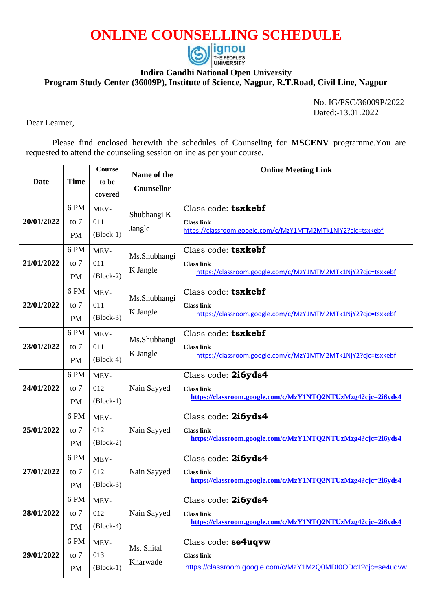## **ONLINE COUNSELLING SCHEDULE**



## **Indira Gandhi National Open University**

**Program Study Center (36009P), Institute of Science, Nagpur, R.T.Road, Civil Line, Nagpur** 

No. IG/PSC/36009P/2022 Dated:-13.01.2022

Dear Learner,

Please find enclosed herewith the schedules of Counseling for **MSCENV** programme.You are requested to attend the counseling session online as per your course.

| Date       | <b>Time</b>                 | <b>Course</b><br>to be<br>covered | Name of the<br>Counsellor | <b>Online Meeting Link</b>                                                                              |
|------------|-----------------------------|-----------------------------------|---------------------------|---------------------------------------------------------------------------------------------------------|
| 20/01/2022 | 6 PM<br>to $7$<br><b>PM</b> | MEV-<br>011<br>$(Block-1)$        | Shubhangi K<br>Jangle     | Class code: tsxkebf<br><b>Class link</b><br>https://classroom.google.com/c/MzY1MTM2MTk1NjY2?cjc=tsxkebf |
| 21/01/2022 | 6 PM<br>to $7$<br><b>PM</b> | MEV-<br>011<br>$(Block-2)$        | Ms.Shubhangi<br>K Jangle  | Class code: tsxkebf<br><b>Class link</b><br>https://classroom.google.com/c/MzY1MTM2MTk1NjY2?cjc=tsxkebf |
| 22/01/2022 | 6 PM<br>to $7$<br><b>PM</b> | MEV-<br>011<br>$(Block-3)$        | Ms.Shubhangi<br>K Jangle  | Class code: tsxkebf<br><b>Class link</b><br>https://classroom.google.com/c/MzY1MTM2MTk1NjY2?cjc=tsxkebf |
| 23/01/2022 | 6PM<br>to $7$<br><b>PM</b>  | MEV-<br>011<br>$(Block-4)$        | Ms.Shubhangi<br>K Jangle  | Class code: tsxkebf<br><b>Class link</b><br>https://classroom.google.com/c/MzY1MTM2MTk1NjY2?cjc=tsxkebf |
| 24/01/2022 | 6PM<br>to $7$<br><b>PM</b>  | MEV-<br>012<br>$(Block-1)$        | Nain Sayyed               | Class code: 2i6yds4<br><b>Class link</b><br>https://classroom.google.com/c/MzY1NTQ2NTUzMzg4?cjc=2i6yds4 |
| 25/01/2022 | 6PM<br>to $7$<br><b>PM</b>  | MEV-<br>012<br>$(Block-2)$        | Nain Sayyed               | Class code: 2i6yds4<br><b>Class link</b><br>https://classroom.google.com/c/MzY1NTQ2NTUzMzg4?cjc=2i6yds4 |
| 27/01/2022 | 6PM<br>to $7$<br>PM         | MEV-<br>012<br>$(Block-3)$        | Nain Sayyed               | Class code: 2i6yds4<br><b>Class link</b><br>https://classroom.google.com/c/MzY1NTQ2NTUzMzg4?cjc=2i6yds4 |
| 28/01/2022 | 6 PM<br>to $7$<br>PM        | MEV-<br>012<br>$(Block-4)$        | Nain Sayyed               | Class code: 2i6yds4<br><b>Class link</b><br>https://classroom.google.com/c/MzY1NTQ2NTUzMzg4?cjc=2i6yds4 |
| 29/01/2022 | 6PM<br>to $7$<br>PM         | MEV-<br>013<br>$(Block-1)$        | Ms. Shital<br>Kharwade    | Class code: se4uqvw<br><b>Class link</b><br>https://classroom.google.com/c/MzY1MzQ0MDI0ODc1?cjc=se4uqvw |